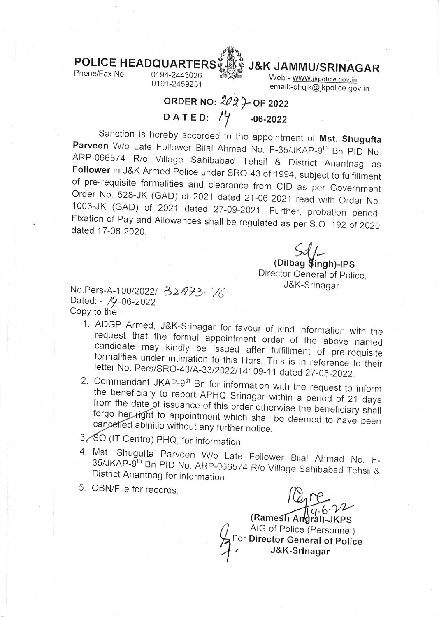

0194-2443026 0191-2459251



email:-phqjk@jkpolice.gov.in Web:- www.jkpolice.gov.in

## ORDER NO:  $202$   $\rightarrow$  OF 2022 DATED:  $/4$  -06-2022

Sanction is hereby accorded to the appointment of **Mst. Shugufta**<br>**Parveen** W/o Late Follower Bilal Ahmad No. F-35/JKAP-9<sup>th</sup> Bn PID No.<br>ARP-066574 R/o Village Sahibabad Tehsil & District Anantnag as<br>**Follower** in J&K Arme

 $Sdf-$ (Dilbag **\$**ingh)-IPS Director General of police, J&K-Srinagar

No.Pers-A-100/2022/ 32873-76<br>Dated: - /y-06-2022 Copy to th'e:-

- 1. ADGP Armed, J&K-Srinagar for favour of kind information with the request that the formal appointment order of the above named candidate may kindly be issued after fulfillment of pre-requisite formalities under intimati
- the Commandant JKAP-9<sup>th</sup> Bn for information with the request to inform<br>the beneficiary to report APHQ Srinagar within a period of 21 days<br>from the date of issuance of this order otherwise the beneficiary shall<br>forgo her right
- 3, SO (IT Centre) PHQ, for information
- 4. Mst. Shugufta Parveen W/o Late Follower Bilal Ahmad No. F-<br>35/JKAP-9<sup>th</sup> Bn PID No. ARD 989571 Bis with the Ahmad No. F-3s/JKAP-gth Bn PtD No. ARP\_06657 4 R/o Village Sahibabad Tehsil & District Anantnag for information.
- 5. OBN/File for records

 $6.22$ 

Ramesh Angral)-JKPS  $F_{\Omega}$ AIG of Police (Personnel) For Director General of police r Dinostor General O<br>4 J&K-Srinagar